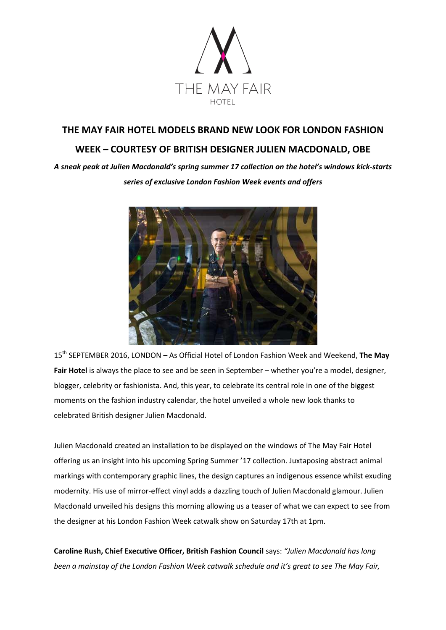

# **THE MAY FAIR HOTEL MODELS BRAND NEW LOOK FOR LONDON FASHION WEEK – COURTESY OF BRITISH DESIGNER JULIEN MACDONALD, OBE**

*A sneak peak at Julien Macdonald's spring summer 17 collection on the hotel's windows kick-starts series of exclusive London Fashion Week events and offers* 



15th SEPTEMBER 2016, LONDON – As Official Hotel of London Fashion Week and Weekend, **The May Fair Hotel** is always the place to see and be seen in September – whether you're a model, designer, blogger, celebrity or fashionista. And, this year, to celebrate its central role in one of the biggest moments on the fashion industry calendar, the hotel unveiled a whole new look thanks to celebrated British designer Julien Macdonald.

Julien Macdonald created an installation to be displayed on the windows of The May Fair Hotel offering us an insight into his upcoming Spring Summer '17 collection. Juxtaposing abstract animal markings with contemporary graphic lines, the design captures an indigenous essence whilst exuding modernity. His use of mirror-effect vinyl adds a dazzling touch of Julien Macdonald glamour. Julien Macdonald unveiled his designs this morning allowing us a teaser of what we can expect to see from the designer at his London Fashion Week catwalk show on Saturday 17th at 1pm.

**Caroline Rush, Chief Executive Officer, British Fashion Council** says: *"Julien Macdonald has long been a mainstay of the London Fashion Week catwalk schedule and it's great to see The May Fair,*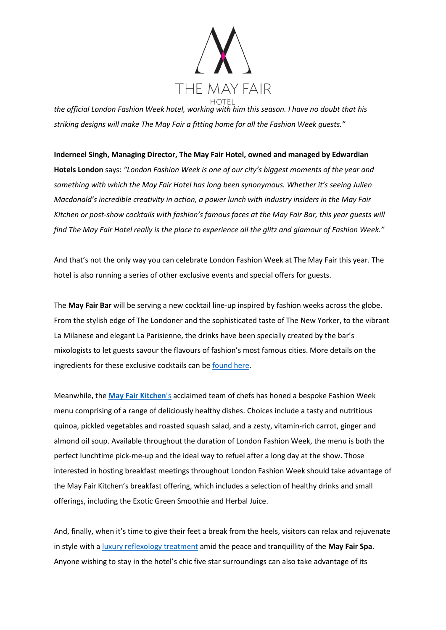

*the official London Fashion Week hotel, working with him this season. I have no doubt that his striking designs will make The May Fair a fitting home for all the Fashion Week guests."*

**Inderneel Singh, Managing Director, The May Fair Hotel, owned and managed by Edwardian Hotels London** says: *"London Fashion Week is one of our city's biggest moments of the year and something with which the May Fair Hotel has long been synonymous. Whether it's seeing Julien Macdonald's incredible creativity in action, a power lunch with industry insiders in the May Fair Kitchen or post-show cocktails with fashion's famous faces at the May Fair Bar, this year guests will find The May Fair Hotel really is the place to experience all the glitz and glamour of Fashion Week."*

And that's not the only way you can celebrate London Fashion Week at The May Fair this year. The hotel is also running a series of other exclusive events and special offers for guests.

The **May Fair Bar** will be serving a new cocktail line-up inspired by fashion weeks across the globe. From the stylish edge of The Londoner and the sophisticated taste of The New Yorker, to the vibrant La Milanese and elegant La Parisienne, the drinks have been specially created by the bar's mixologists to let guests savour the flavours of fashion's most famous cities. More details on the ingredients for these exclusive cocktails can be [found here.](http://www.themayfairhotel.co.uk/d/mayfair/media/PDF/Menu/Bar/London_Fashion_Week_Sep_2016/London_Fashion_Week_menu_at_May_Fair_Bar.pdf)

Meanwhile, the **[May Fair Kitchen](http://www.mayfairkitchen.co.uk/)**'s acclaimed team of chefs has honed a bespoke Fashion Week menu comprising of a range of deliciously healthy dishes. Choices include a tasty and nutritious quinoa, pickled vegetables and roasted squash salad, and a zesty, vitamin-rich carrot, ginger and almond oil soup. Available throughout the duration of London Fashion Week, the menu is both the perfect lunchtime pick-me-up and the ideal way to refuel after a long day at the show. Those interested in hosting breakfast meetings throughout London Fashion Week should take advantage of the May Fair Kitchen's breakfast offering, which includes a selection of healthy drinks and small offerings, including the Exotic Green Smoothie and Herbal Juice.

And, finally, when it's time to give their feet a break from the heels, visitors can relax and rejuvenate in style with a [luxury reflexology treatment](http://www.themayfairhotel.co.uk/en/spa/treatments.html) amid the peace and tranquillity of the **May Fair Spa**. Anyone wishing to stay in the hotel's chic five star surroundings can also take advantage of its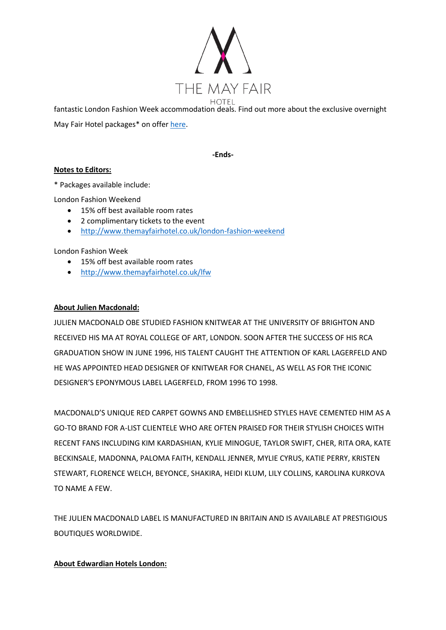

fantastic London Fashion Week accommodation deals. Find out more about the exclusive overnight May Fair Hotel packages\* on offer [here.](http://www.themayfairhotel.co.uk/lfw)

**-Ends-**

# **Notes to Editors:**

\* Packages available include:

London Fashion Weekend

- 15% off best available room rates
- 2 complimentary tickets to the event
- <http://www.themayfairhotel.co.uk/london-fashion-weekend>

### London Fashion Week

- 15% off best available room rates
- <http://www.themayfairhotel.co.uk/lfw>

### **About Julien Macdonald:**

JULIEN MACDONALD OBE STUDIED FASHION KNITWEAR AT THE UNIVERSITY OF BRIGHTON AND RECEIVED HIS MA AT ROYAL COLLEGE OF ART, LONDON. SOON AFTER THE SUCCESS OF HIS RCA GRADUATION SHOW IN JUNE 1996, HIS TALENT CAUGHT THE ATTENTION OF KARL LAGERFELD AND HE WAS APPOINTED HEAD DESIGNER OF KNITWEAR FOR CHANEL, AS WELL AS FOR THE ICONIC DESIGNER'S EPONYMOUS LABEL LAGERFELD, FROM 1996 TO 1998.

MACDONALD'S UNIQUE RED CARPET GOWNS AND EMBELLISHED STYLES HAVE CEMENTED HIM AS A GO-TO BRAND FOR A-LIST CLIENTELE WHO ARE OFTEN PRAISED FOR THEIR STYLISH CHOICES WITH RECENT FANS INCLUDING KIM KARDASHIAN, KYLIE MINOGUE, TAYLOR SWIFT, CHER, RITA ORA, KATE BECKINSALE, MADONNA, PALOMA FAITH, KENDALL JENNER, MYLIE CYRUS, KATIE PERRY, KRISTEN STEWART, FLORENCE WELCH, BEYONCE, SHAKIRA, HEIDI KLUM, LILY COLLINS, KAROLINA KURKOVA TO NAME A FEW.

THE JULIEN MACDONALD LABEL IS MANUFACTURED IN BRITAIN AND IS AVAILABLE AT PRESTIGIOUS BOUTIQUES WORLDWIDE.

# **About Edwardian Hotels London:**